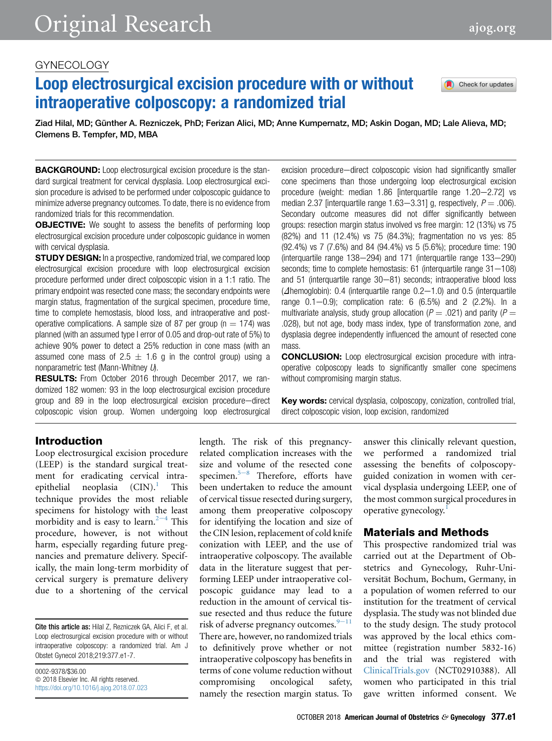# Loop electrosurgical excision procedure with or without intraoperative colposcopy: a randomized trial



Ziad Hilal, MD; Günther A. Rezniczek, PhD; Ferizan Alici, MD; Anne Kumpernatz, MD; Askin Dogan, MD; Lale Alieva, MD; Clemens B. Tempfer, MD, MBA

**BACKGROUND:** Loop electrosurgical excision procedure is the standard surgical treatment for cervical dysplasia. Loop electrosurgical excision procedure is advised to be performed under colposcopic guidance to minimize adverse pregnancy outcomes. To date, there is no evidence from randomized trials for this recommendation.

**OBJECTIVE:** We sought to assess the benefits of performing loop electrosurgical excision procedure under colposcopic guidance in women with cervical dysplasia.

**STUDY DESIGN:** In a prospective, randomized trial, we compared loop electrosurgical excision procedure with loop electrosurgical excision procedure performed under direct colposcopic vision in a 1:1 ratio. The primary endpoint was resected cone mass; the secondary endpoints were margin status, fragmentation of the surgical specimen, procedure time, time to complete hemostasis, blood loss, and intraoperative and postoperative complications. A sample size of 87 per group ( $n = 174$ ) was planned (with an assumed type I error of 0.05 and drop-out rate of 5%) to achieve 90% power to detect a 25% reduction in cone mass (with an assumed cone mass of 2.5  $\pm$  1.6 g in the control group) using a nonparametric test (Mann-Whitney U).

RESULTS: From October 2016 through December 2017, we randomized 182 women: 93 in the loop electrosurgical excision procedure group and 89 in the loop electrosurgical excision procedure-direct colposcopic vision group. Women undergoing loop electrosurgical

excision procedure-direct colposcopic vision had significantly smaller cone specimens than those undergoing loop electrosurgical excision procedure (weight: median  $1.86$  [interquartile range  $1.20 - 2.72$ ] vs median 2.37 [interquartile range 1.63–3.31] g, respectively,  $P = .006$ ). Secondary outcome measures did not differ significantly between groups: resection margin status involved vs free margin: 12 (13%) vs 75 (82%) and 11 (12.4%) vs 75 (84.3%); fragmentation no vs yes: 85 (92.4%) vs 7 (7.6%) and 84 (94.4%) vs 5 (5.6%); procedure time: 190 (interquartile range  $138-294$ ) and  $171$  (interquartile range  $133-290$ ) seconds; time to complete hemostasis:  $61$  (interquartile range  $31-108$ ) and  $51$  (interquartile range  $30-81$ ) seconds; intraoperative blood loss ( $\Delta$ hemoglobin): 0.4 (interquartile range 0.2-1.0) and 0.5 (interquartile range  $0.1-0.9$ ; complication rate: 6 (6.5%) and 2 (2.2%). In a multivariate analysis, study group allocation ( $P = .021$ ) and parity ( $P =$ .028), but not age, body mass index, type of transformation zone, and dysplasia degree independently influenced the amount of resected cone mass.

CONCLUSION: Loop electrosurgical excision procedure with intraoperative colposcopy leads to significantly smaller cone specimens without compromising margin status.

Key words: cervical dysplasia, colposcopy, conization, controlled trial, direct colposcopic vision, loop excision, randomized

# Introduction

Loop electrosurgical excision procedure (LEEP) is the standard surgical treatment for eradicating cervical intraepithelial neoplasia  $(CIN)^1$  $(CIN)^1$  This technique provides the most reliable specimens for histology with the least morbidity and is [e](#page-6-0)asy to learn.<sup>2-4</sup> This procedure, however, is not without harm, especially regarding future pregnancies and premature delivery. Specifically, the main long-term morbidity of cervical surgery is premature delivery due to a shortening of the cervical

Cite this article as: Hilal Z, Rezniczek GA, Alici F, et al. Loop electrosurgical excision procedure with or without intraoperative colposcopy: a randomized trial. Am J Obstet Gynecol 2018;219:377.e1-7.

0002-9378/\$36.00  $©$  2018 Elsevier Inc. All rights reserved. <https://doi.org/10.1016/j.ajog.2018.07.023> length. The risk of this pregnancyrelated complication increases with the size and volume of the resected cone sp[e](#page-6-0)cimen. $5-8$  Therefore, efforts have been undertaken to reduce the amount of cervical tissue resected during surgery, among them preoperative colposcopy for identifying the location and size of the CIN lesion, replacement of cold knife conization with LEEP, and the use of intraoperative colposcopy. The available data in the literature suggest that performing LEEP under intraoperative colposcopic guidance may lead to a reduction in the amount of cervical tissue resected and thus reduce the future risk of adverse pregnancy outcomes. $9-11$  $9-11$ There are, however, no randomized trials to definitively prove whether or not intraoperative colposcopy has benefits in terms of cone volume reduction without compromising oncological safety, namely the resection margin status. To

answer this clinically relevant question, we performed a randomized trial assessing the benefits of colposcopyguided conization in women with cervical dysplasia undergoing LEEP, one of the most common surgical procedures in operative gynecology.[1](#page-6-0)

# Materials and Methods

This prospective randomized trial was carried out at the Department of Obstetrics and Gynecology, Ruhr-Universität Bochum, Bochum, Germany, in a population of women referred to our institution for the treatment of cervical dysplasia. The study was not blinded due to the study design. The study protocol was approved by the local ethics committee (registration number 5832-16) and the trial was registered with [ClinicalTrials.gov](http://ClinicalTrials.gov) (NCT02910388). All women who participated in this trial gave written informed consent. We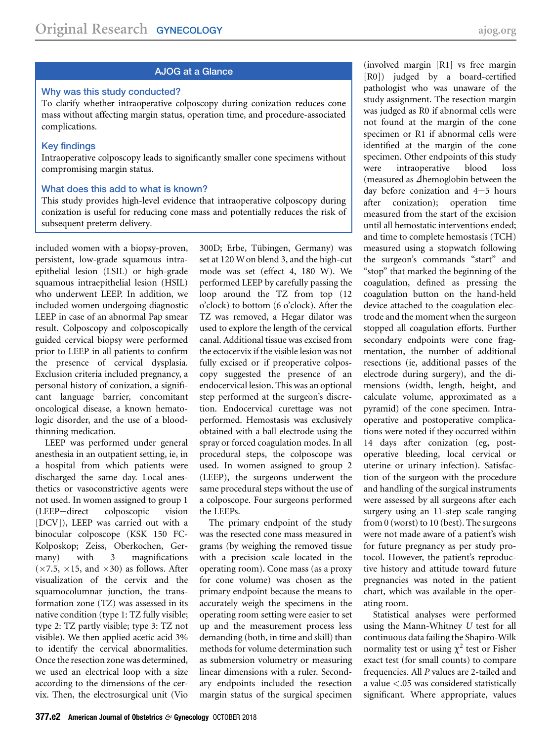# AJOG at a Glance

### Why was this study conducted?

To clarify whether intraoperative colposcopy during conization reduces cone mass without affecting margin status, operation time, and procedure-associated complications.

### Key findings

Intraoperative colposcopy leads to significantly smaller cone specimens without compromising margin status.

### What does this add to what is known?

This study provides high-level evidence that intraoperative colposcopy during conization is useful for reducing cone mass and potentially reduces the risk of subsequent preterm delivery.

included women with a biopsy-proven, persistent, low-grade squamous intraepithelial lesion (LSIL) or high-grade squamous intraepithelial lesion (HSIL) who underwent LEEP. In addition, we included women undergoing diagnostic LEEP in case of an abnormal Pap smear result. Colposcopy and colposcopically guided cervical biopsy were performed prior to LEEP in all patients to confirm the presence of cervical dysplasia. Exclusion criteria included pregnancy, a personal history of conization, a significant language barrier, concomitant oncological disease, a known hematologic disorder, and the use of a bloodthinning medication.

LEEP was performed under general anesthesia in an outpatient setting, ie, in a hospital from which patients were discharged the same day. Local anesthetics or vasoconstrictive agents were not used. In women assigned to group 1 (LEEP-direct colposcopic vision [DCV]), LEEP was carried out with a binocular colposcope (KSK 150 FC-Kolposkop; Zeiss, Oberkochen, Germany) with 3 magnifications  $(\times 7.5, \times 15, \text{ and } \times 30)$  as follows. After visualization of the cervix and the squamocolumnar junction, the transformation zone (TZ) was assessed in its native condition (type 1: TZ fully visible; type 2: TZ partly visible; type 3: TZ not visible). We then applied acetic acid 3% to identify the cervical abnormalities. Once the resection zone was determined, we used an electrical loop with a size according to the dimensions of the cervix. Then, the electrosurgical unit (Vio

300D; Erbe, Tübingen, Germany) was set at 120 W on blend 3, and the high-cut mode was set (effect 4, 180 W). We performed LEEP by carefully passing the loop around the TZ from top (12 o'clock) to bottom (6 o'clock). After the TZ was removed, a Hegar dilator was used to explore the length of the cervical canal. Additional tissue was excised from the ectocervix if the visible lesion was not fully excised or if preoperative colposcopy suggested the presence of an endocervical lesion. This was an optional step performed at the surgeon's discretion. Endocervical curettage was not performed. Hemostasis was exclusively obtained with a ball electrode using the spray or forced coagulation modes. In all procedural steps, the colposcope was used. In women assigned to group 2 (LEEP), the surgeons underwent the same procedural steps without the use of a colposcope. Four surgeons performed the LEEPs.

The primary endpoint of the study was the resected cone mass measured in grams (by weighing the removed tissue with a precision scale located in the operating room). Cone mass (as a proxy for cone volume) was chosen as the primary endpoint because the means to accurately weigh the specimens in the operating room setting were easier to set up and the measurement process less demanding (both, in time and skill) than methods for volume determination such as submersion volumetry or measuring linear dimensions with a ruler. Secondary endpoints included the resection margin status of the surgical specimen

(involved margin [R1] vs free margin [R0]) judged by a board-certified pathologist who was unaware of the study assignment. The resection margin was judged as R0 if abnormal cells were not found at the margin of the cone specimen or R1 if abnormal cells were identified at the margin of the cone specimen. Other endpoints of this study were intraoperative blood loss (measured as  $\Delta$ hemoglobin between the day before conization and  $4-5$  hours after conization); operation time measured from the start of the excision until all hemostatic interventions ended; and time to complete hemostasis (TCH) measured using a stopwatch following the surgeon's commands "start" and "stop" that marked the beginning of the coagulation, defined as pressing the coagulation button on the hand-held device attached to the coagulation electrode and the moment when the surgeon stopped all coagulation efforts. Further secondary endpoints were cone fragmentation, the number of additional resections (ie, additional passes of the electrode during surgery), and the dimensions (width, length, height, and calculate volume, approximated as a pyramid) of the cone specimen. Intraoperative and postoperative complications were noted if they occurred within 14 days after conization (eg, postoperative bleeding, local cervical or uterine or urinary infection). Satisfaction of the surgeon with the procedure and handling of the surgical instruments were assessed by all surgeons after each surgery using an 11-step scale ranging from 0 (worst) to 10 (best). The surgeons were not made aware of a patient's wish for future pregnancy as per study protocol. However, the patient's reproductive history and attitude toward future pregnancies was noted in the patient chart, which was available in the operating room.

Statistical analyses were performed using the Mann-Whitney U test for all continuous data failing the Shapiro-Wilk normality test or using  $\chi^2$  test or Fisher exact test (for small counts) to compare frequencies. All P values are 2-tailed and a value <.05 was considered statistically significant. Where appropriate, values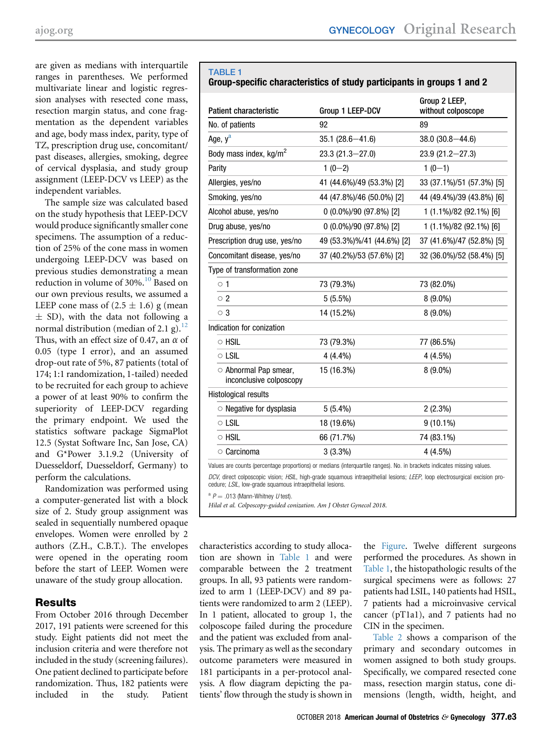<span id="page-2-0"></span>are given as medians with interquartile ranges in parentheses. We performed multivariate linear and logistic regression analyses with resected cone mass, resection margin status, and cone fragmentation as the dependent variables and age, body mass index, parity, type of TZ, prescription drug use, concomitant/ past diseases, allergies, smoking, degree of cervical dysplasia, and study group assignment (LEEP-DCV vs LEEP) as the independent variables.

The sample size was calculated based on the study hypothesis that LEEP-DCV would produce significantly smaller cone specimens. The assumption of a reduction of 25% of the cone mass in women undergoing LEEP-DCV was based on previous studies demonstrating a mean reduction in volume of 30%.<sup>[10](#page-6-0)</sup> Based on our own previous results, we assumed a LEEP cone mass of  $(2.5 \pm 1.6)$  g (mean  $\pm$  SD), with the data not following a normal distribution (median of 2.1 g).<sup>[12](#page-6-0)</sup> Thus, with an effect size of 0.47, an  $\alpha$  of 0.05 (type I error), and an assumed drop-out rate of 5%, 87 patients (total of 174; 1:1 randomization, 1-tailed) needed to be recruited for each group to achieve a power of at least 90% to confirm the superiority of LEEP-DCV regarding the primary endpoint. We used the statistics software package SigmaPlot 12.5 (Systat Software Inc, San Jose, CA) and G\*Power 3.1.9.2 (University of Duesseldorf, Duesseldorf, Germany) to perform the calculations.

Randomization was performed using a computer-generated list with a block size of 2. Study group assignment was sealed in sequentially numbered opaque envelopes. Women were enrolled by 2 authors (Z.H., C.B.T.). The envelopes were opened in the operating room before the start of LEEP. Women were unaware of the study group allocation.

# Results

From October 2016 through December 2017, 191 patients were screened for this study. Eight patients did not meet the inclusion criteria and were therefore not included in the study (screening failures). One patient declined to participate before randomization. Thus, 182 patients were included in the study. Patient

### TABLE 1 Group-specific characteristics of study participants in groups 1 and 2

| <b>Patient characteristic</b>                    | Group 1 LEEP-DCV           | Group 2 LEEP,<br>without colposcope |  |  |
|--------------------------------------------------|----------------------------|-------------------------------------|--|--|
| No. of patients                                  | 92                         | 89                                  |  |  |
| Age, y <sup>a</sup>                              | $35.1(28.6 - 41.6)$        | $38.0(30.8 - 44.6)$                 |  |  |
| Body mass index, kg/m <sup>2</sup>               | $23.3(21.3 - 27.0)$        | $23.9(21.2 - 27.3)$                 |  |  |
| Parity                                           | $1(0-2)$                   | $1(0-1)$                            |  |  |
| Allergies, yes/no                                | 41 (44.6%)/49 (53.3%) [2]  | 33 (37.1%)/51 (57.3%) [5]           |  |  |
| Smoking, yes/no                                  | 44 (47.8%)/46 (50.0%) [2]  | 44 (49.4%)/39 (43.8%) [6]           |  |  |
| Alcohol abuse, yes/no                            | $0(0.0\%)/90(97.8\%)$ [2]  | 1 (1.1%)/82 (92.1%) [6]             |  |  |
| Drug abuse, yes/no                               | $0(0.0\%)/90(97.8\%)$ [2]  | 1 (1.1%)/82 (92.1%) [6]             |  |  |
| Prescription drug use, yes/no                    | 49 (53.3%)%/41 (44.6%) [2] | 37 (41.6%)/47 (52.8%) [5]           |  |  |
| Concomitant disease, yes/no                      | 37 (40.2%)/53 (57.6%) [2]  | 32 (36.0%)/52 (58.4%) [5]           |  |  |
| Type of transformation zone                      |                            |                                     |  |  |
| $\circ$ 1                                        | 73 (79.3%)                 | 73 (82.0%)                          |  |  |
| $\circ$ 2                                        | 5(5.5%)                    | $8(9.0\%)$                          |  |  |
| $\circ$ 3                                        | 14 (15.2%)                 | 8 (9.0%)                            |  |  |
| Indication for conization                        |                            |                                     |  |  |
| $\circ$ HSIL                                     | 73 (79.3%)                 | 77 (86.5%)                          |  |  |
| $\circ$ LSIL                                     | $4(4.4\%)$                 | 4(4.5%)                             |  |  |
| ○ Abnormal Pap smear,<br>inconclusive colposcopy | 15 (16.3%)                 | $8(9.0\%)$                          |  |  |
| Histological results                             |                            |                                     |  |  |
| $\circ$ Negative for dysplasia                   | $5(5.4\%)$                 | $2(2.3\%)$                          |  |  |
| $\circ$ LSIL                                     | 18 (19.6%)                 | $9(10.1\%)$                         |  |  |
| $\circ$ HSIL                                     | 66 (71.7%)                 | 74 (83.1%)                          |  |  |
| O Carcinoma                                      | 3(3.3%)                    | 4 (4.5%)                            |  |  |

Values are counts (percentage proportions) or medians (interquartile ranges). No. in brackets indicates missing values.

DCV, direct colposcopic vision; HSIL, high-grade squamous intraepithelial lesions; LEEP, loop electrosurgical excision procedure: *LSIL*, low-grade squamous intraepithelial lesions.

 $A^a P = .013$  (Mann-Whitney U test).

Hilal et al. Colposcopy-guided conization. Am J Obstet Gynecol 2018.

characteristics according to study allocation are shown in Table 1 and were comparable between the 2 treatment groups. In all, 93 patients were randomized to arm 1 (LEEP-DCV) and 89 patients were randomized to arm 2 (LEEP). In 1 patient, allocated to group 1, the colposcope failed during the procedure and the patient was excluded from analysis. The primary as well as the secondary outcome parameters were measured in 181 participants in a per-protocol analysis. A flow diagram depicting the patients' flow through the study is shown in

the [Figure.](#page-3-0) Twelve different surgeons performed the procedures. As shown in Table 1, the histopathologic results of the surgical specimens were as follows: 27 patients had LSIL, 140 patients had HSIL, 7 patients had a microinvasive cervical cancer (pT1a1), and 7 patients had no CIN in the specimen.

[Table 2](#page-4-0) shows a comparison of the primary and secondary outcomes in women assigned to both study groups. Specifically, we compared resected cone mass, resection margin status, cone dimensions (length, width, height, and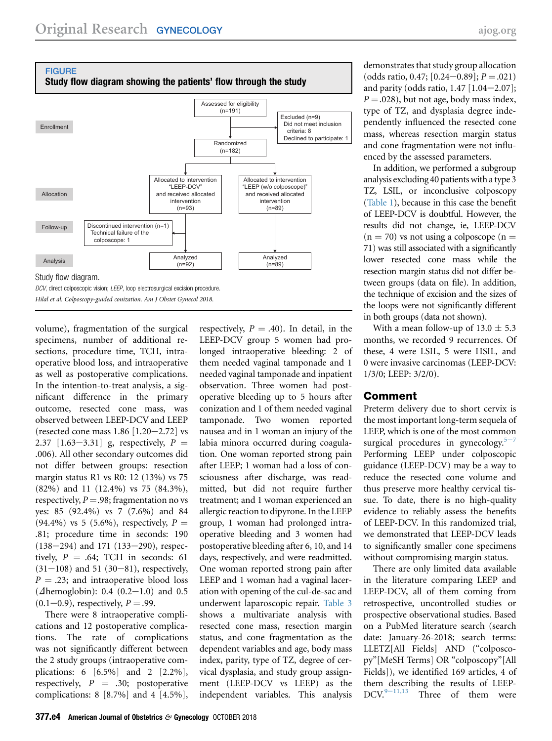<span id="page-3-0"></span>



volume), fragmentation of the surgical specimens, number of additional resections, procedure time, TCH, intraoperative blood loss, and intraoperative as well as postoperative complications. In the intention-to-treat analysis, a significant difference in the primary outcome, resected cone mass, was observed between LEEP-DCV and LEEP (resected cone mass  $1.86$  [1.20-2.72] vs 2.37  $[1.63-3.31]$  g, respectively,  $P =$ .006). All other secondary outcomes did not differ between groups: resection margin status R1 vs R0: 12 (13%) vs 75 (82%) and 11 (12.4%) vs 75 (84.3%), respectively,  $P = .98$ ; fragmentation no vs yes: 85 (92.4%) vs 7 (7.6%) and 84  $(94.4\%)$  vs 5  $(5.6\%)$ , respectively,  $P =$ .81; procedure time in seconds: 190  $(138-294)$  and  $171$   $(133-290)$ , respectively,  $P = .64$ ; TCH in seconds: 61  $(31-108)$  and 51  $(30-81)$ , respectively,  $P = .23$ ; and intraoperative blood loss ( $\Delta$ hemoglobin): 0.4 (0.2–1.0) and 0.5  $(0.1-0.9)$ , respectively,  $P = .99$ .

There were 8 intraoperative complications and 12 postoperative complications. The rate of complications was not significantly different between the 2 study groups (intraoperative complications: 6 [6.5%] and 2 [2.2%], respectively,  $P = .30$ ; postoperative complications: 8 [8.7%] and 4 [4.5%],

respectively,  $P = .40$ ). In detail, in the LEEP-DCV group 5 women had prolonged intraoperative bleeding: 2 of them needed vaginal tamponade and 1 needed vaginal tamponade and inpatient observation. Three women had postoperative bleeding up to 5 hours after conization and 1 of them needed vaginal tamponade. Two women reported nausea and in 1 woman an injury of the labia minora occurred during coagulation. One woman reported strong pain after LEEP; 1 woman had a loss of consciousness after discharge, was readmitted, but did not require further treatment; and 1 woman experienced an allergic reaction to dipyrone. In the LEEP group, 1 woman had prolonged intraoperative bleeding and 3 women had postoperative bleeding after 6, 10, and 14 days, respectively, and were readmitted. One woman reported strong pain after LEEP and 1 woman had a vaginal laceration with opening of the cul-de-sac and underwent laparoscopic repair. [Table 3](#page-5-0) shows a multivariate analysis with resected cone mass, resection margin status, and cone fragmentation as the dependent variables and age, body mass index, parity, type of TZ, degree of cervical dysplasia, and study group assignment (LEEP-DCV vs LEEP) as the independent variables. This analysis

demonstrates that study group allocation  $(odds ratio, 0.47; [0.24-0.89]; P = .021)$ and parity (odds ratio,  $1.47$  [ $1.04-2.07$ ];  $P = .028$ ), but not age, body mass index, type of TZ, and dysplasia degree independently influenced the resected cone mass, whereas resection margin status and cone fragmentation were not influenced by the assessed parameters.

In addition, we performed a subgroup analysis excluding 40 patients with a type 3 TZ, LSIL, or inconclusive colposcopy [\(Table 1](#page-2-0)), because in this case the benefit of LEEP-DCV is doubtful. However, the results did not change, ie, LEEP-DCV  $(n = 70)$  vs not using a colposcope  $(n = 1)$ 71) was still associated with a significantly lower resected cone mass while the resection margin status did not differ between groups (data on file). In addition, the technique of excision and the sizes of the loops were not significantly different in both groups (data not shown).

With a mean follow-up of  $13.0 \pm 5.3$ months, we recorded 9 recurrences. Of these, 4 were LSIL, 5 were HSIL, and 0 were invasive carcinomas (LEEP-DCV: 1/3/0; LEEP: 3/2/0).

# Comment

Preterm delivery due to short cervix is the most important long-term sequela of LEEP, which is one of the most common surgical proc[e](#page-6-0)dures in gynecology. $5-7$ Performing LEEP under colposcopic guidance (LEEP-DCV) may be a way to reduce the resected cone volume and thus preserve more healthy cervical tissue. To date, there is no high-quality evidence to reliably assess the benefits of LEEP-DCV. In this randomized trial, we demonstrated that LEEP-DCV leads to significantly smaller cone specimens without compromising margin status.

There are only limited data available in the literature comparing LEEP and LEEP-DCV, all of them coming from retrospective, uncontrolled studies or prospective observational studies. Based on a PubMed literature search (search date: January-26-2018; search terms: LLETZ[All Fields] AND ("colposcopy"[MeSH Terms] OR "colposcopy"[All Fields]), we identified 169 articles, 4 of them describing the results of LEEP-<br>DCV.<sup>9-11,13</sup> Three of them were Three of them were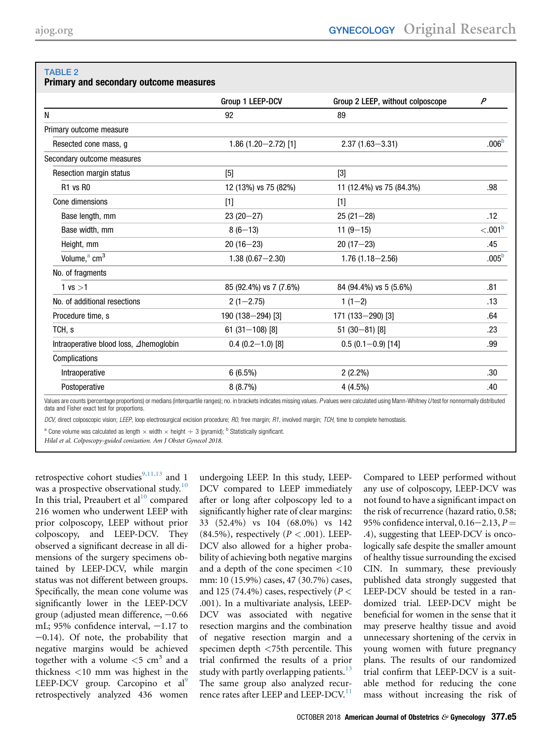<span id="page-4-0"></span>

| TABL |  |  |
|------|--|--|
|      |  |  |

|  | <b>Primary and secondary outcome measures</b> |
|--|-----------------------------------------------|
|--|-----------------------------------------------|

|                                        | Group 1 LEEP-DCV       | Group 2 LEEP, without colposcope | $\overline{P}$      |
|----------------------------------------|------------------------|----------------------------------|---------------------|
| N                                      | 92                     | 89                               |                     |
| Primary outcome measure                |                        |                                  |                     |
| Resected cone mass, g                  | $1.86(1.20 - 2.72)[1]$ | $2.37(1.63 - 3.31)$              | .006 <sup>b</sup>   |
| Secondary outcome measures             |                        |                                  |                     |
| Resection margin status                | [5]                    | $[3]$                            |                     |
| R <sub>1</sub> vs R <sub>0</sub>       | 12 (13%) vs 75 (82%)   | 11 (12.4%) vs 75 (84.3%)         | .98                 |
| Cone dimensions                        | $[1]$                  | $[1]$                            |                     |
| Base length, mm                        | $23(20-27)$            | $25(21 - 28)$                    | .12                 |
| Base width, mm                         | $8(6-13)$              | $11(9-15)$                       | < 0.01 <sup>b</sup> |
| Height, mm                             | $20(16-23)$            | $20(17 - 23)$                    | .45                 |
| Volume, <sup>a</sup> cm <sup>3</sup>   | $1.38(0.67 - 2.30)$    | $1.76(1.18 - 2.56)$              | .005 <sup>b</sup>   |
| No. of fragments                       |                        |                                  |                     |
| $1$ vs $>1$                            | 85 (92.4%) vs 7 (7.6%) | 84 (94.4%) vs 5 (5.6%)           | .81                 |
| No. of additional resections           | $2(1 - 2.75)$          | $1(1-2)$                         | .13                 |
| Procedure time, s                      | 190 (138-294) [3]      | 171 (133-290) [3]                | .64                 |
| TCH, s                                 | $61(31 - 108)$ [8]     | $51(30-81)[8]$                   | .23                 |
| Intraoperative blood loss, ⊿hemoglobin | $0.4(0.2-1.0)[8]$      | $0.5(0.1 - 0.9)$ [14]            | .99                 |
| Complications                          |                        |                                  |                     |
| Intraoperative                         | $6(6.5\%)$             | $2(2.2\%)$                       | .30                 |
| Postoperative                          | 8(8.7%)                | 4(4.5%)                          | .40                 |

Values are counts (percentage proportions) or medians (interquartile ranges); no. in brackets indicates missing values. Pvalues were calculated using Mann-Whitney U test for nonnormally distributed data and Fisher exact test for proportions.

DCV, direct colposcopic vision; LEEP, loop electrosurgical excision procedure; R0, free margin; R1, involved margin; TCH, time to complete hemostasis.

<sup>a</sup> Cone volume was calculated as length  $\times$  width  $\times$  height  $\div$  3 (pyramid); <sup>b</sup> Statistically significant.

Hilal et al. Colposcopy-guided conization. Am J Obstet Gynecol 2018.

retrospective cohort studies<sup>[9,11,13](#page-6-0)</sup> and 1 was a prospective observational study.<sup>[10](#page-6-0)</sup> In this trial, Preaubert et al<sup>[10](#page-6-0)</sup> compared 216 women who underwent LEEP with prior colposcopy, LEEP without prior colposcopy, and LEEP-DCV. They observed a significant decrease in all dimensions of the surgery specimens obtained by LEEP-DCV, while margin status was not different between groups. Specifically, the mean cone volume was significantly lower in the LEEP-DCV group (adjusted mean difference,  $-0.66$ mL; 95% confidence interval,  $-1.17$  to  $-0.14$ ). Of note, the probability that negative margins would be achieved together with a volume  $<$  5 cm<sup>3</sup> and a thickness <10 mm was highest in the LEEP-DCV group. Carcopino et al<sup>[9](#page-6-0)</sup> retrospectively analyzed 436 women

undergoing LEEP. In this study, LEEP-DCV compared to LEEP immediately after or long after colposcopy led to a significantly higher rate of clear margins: 33 (52.4%) vs 104 (68.0%) vs 142  $(84.5\%)$ , respectively  $(P < .001)$ . LEEP-DCV also allowed for a higher probability of achieving both negative margins and a depth of the cone specimen <10 mm: 10 (15.9%) cases, 47 (30.7%) cases, and 125 (74.4%) cases, respectively ( $P <$ .001). In a multivariate analysis, LEEP-DCV was associated with negative resection margins and the combination of negative resection margin and a specimen depth <75th percentile. This trial confirmed the results of a prior study with partly overlapping patients. $13$ The same group also analyzed recur-rence rates after LEEP and LEEP-DCV.<sup>[11](#page-6-0)</sup>

Compared to LEEP performed without any use of colposcopy, LEEP-DCV was not found to have a significant impact on the risk of recurrence (hazard ratio, 0.58; 95% confidence interval,  $0.16-2.13$ ,  $P =$ .4), suggesting that LEEP-DCV is oncologically safe despite the smaller amount of healthy tissue surrounding the excised CIN. In summary, these previously published data strongly suggested that LEEP-DCV should be tested in a randomized trial. LEEP-DCV might be beneficial for women in the sense that it may preserve healthy tissue and avoid unnecessary shortening of the cervix in young women with future pregnancy plans. The results of our randomized trial confirm that LEEP-DCV is a suitable method for reducing the cone mass without increasing the risk of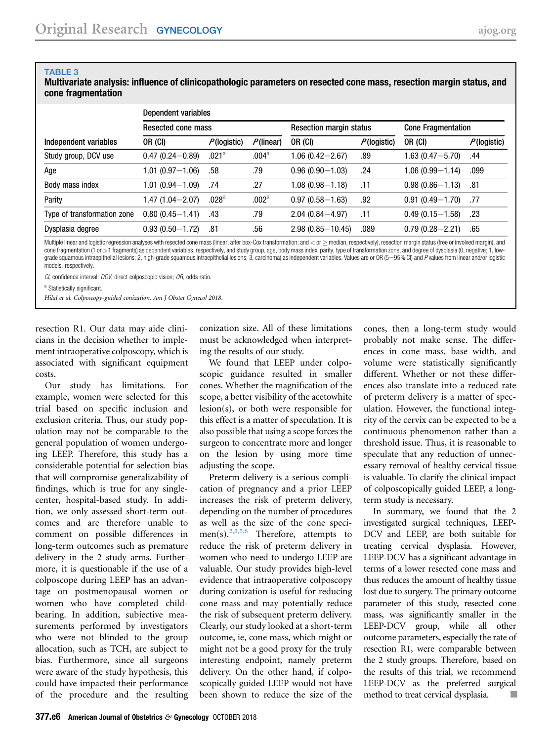### <span id="page-5-0"></span>TABLE 3 Multivariate analysis: influence of clinicopathologic parameters on resected cone mass, resection margin status, and cone fragmentation

|                             | <b>Dependent variables</b> |                   |                   |                                |                |                           |                |
|-----------------------------|----------------------------|-------------------|-------------------|--------------------------------|----------------|---------------------------|----------------|
| Resected cone mass          |                            |                   |                   | <b>Resection margin status</b> |                | <b>Cone Fragmentation</b> |                |
| Independent variables       | OR (CI)                    | $P$ (logistic)    | $P$ (linear)      | OR (CI)                        | $P$ (logistic) | OR (CI)                   | $P$ (logistic) |
| Study group, DCV use        | $0.47(0.24 - 0.89)$        | .021 <sup>a</sup> | .004 <sup>a</sup> | $1.06(0.42 - 2.67)$            | .89            | $1.63(0.47 - 5.70)$       | .44            |
| Age                         | 1.01 (0.97-1.06)           | .58               | .79               | $0.96(0.90 - 1.03)$            | .24            | $1.06(0.99 - 1.14)$       | .099           |
| Body mass index             | $1.01(0.94 - 1.09)$        | .74               | .27               | $1.08(0.98 - 1.18)$            | .11            | $0.98(0.86 - 1.13)$       | .81            |
| Parity                      | 1.47 (1.04 - 2.07)         | .028 <sup>a</sup> | .002 <sup>a</sup> | $0.97(0.58 - 1.63)$            | .92            | $0.91(0.49 - 1.70)$       | .77            |
| Type of transformation zone | $0.80(0.45 - 1.41)$        | .43               | .79               | $2.04(0.84 - 4.97)$            | .11            | $0.49(0.15 - 1.58)$       | .23            |
| Dysplasia degree            | $0.93(0.50 - 1.72)$        | .81               | .56               | $2.98(0.85 - 10.45)$           | .089           | $0.79(0.28 - 2.21)$       | .65            |

Multiple linear and logistic regression analyses with resected cone mass (linear, after box-Cox transformation; and < or > median, respectively), resection margin status (free or involved margin), and cone fragmentation (1 or >1 fragments) as dependent variables, respectively, and study group, age, body mass index, parity, type of transformation zone, and degree of dysplasia (0, negative; 1, lowgrade squamous intraepithelial lesions; 2, high-grade squamous intraepithelial lesions; 3, carcinoma) as independent variables. Values are or OR (5-95% CI) and P values from linear and/or logistic models, respectively.

CI, confidence interval; DCV, direct colposcopic vision; OR, odds ratio.

a Statistically significant.

Hilal et al. Colposcopy-guided conization. Am J Obstet Gynecol 2018.

resection R1. Our data may aide clinicians in the decision whether to implement intraoperative colposcopy, which is associated with significant equipment costs.

Our study has limitations. For example, women were selected for this trial based on specific inclusion and exclusion criteria. Thus, our study population may not be comparable to the general population of women undergoing LEEP. Therefore, this study has a considerable potential for selection bias that will compromise generalizability of findings, which is true for any singlecenter, hospital-based study. In addition, we only assessed short-term outcomes and are therefore unable to comment on possible differences in long-term outcomes such as premature delivery in the 2 study arms. Furthermore, it is questionable if the use of a colposcope during LEEP has an advantage on postmenopausal women or women who have completed childbearing. In addition, subjective measurements performed by investigators who were not blinded to the group allocation, such as TCH, are subject to bias. Furthermore, since all surgeons were aware of the study hypothesis, this could have impacted their performance of the procedure and the resulting

conization size. All of these limitations must be acknowledged when interpreting the results of our study.

We found that LEEP under colposcopic guidance resulted in smaller cones. Whether the magnification of the scope, a better visibility of the acetowhite lesion(s), or both were responsible for this effect is a matter of speculation. It is also possible that using a scope forces the surgeon to concentrate more and longer on the lesion by using more time adjusting the scope.

Preterm delivery is a serious complication of pregnancy and a prior LEEP increases the risk of preterm delivery, depending on the number of procedures as well as the size of the cone speci-men(s).<sup>[2,3,5,6](#page-6-0)</sup> Therefore, attempts to reduce the risk of preterm delivery in women who need to undergo LEEP are valuable. Our study provides high-level evidence that intraoperative colposcopy during conization is useful for reducing cone mass and may potentially reduce the risk of subsequent preterm delivery. Clearly, our study looked at a short-term outcome, ie, cone mass, which might or might not be a good proxy for the truly interesting endpoint, namely preterm delivery. On the other hand, if colposcopically guided LEEP would not have been shown to reduce the size of the

cones, then a long-term study would probably not make sense. The differences in cone mass, base width, and volume were statistically significantly different. Whether or not these differences also translate into a reduced rate of preterm delivery is a matter of speculation. However, the functional integrity of the cervix can be expected to be a continuous phenomenon rather than a threshold issue. Thus, it is reasonable to speculate that any reduction of unnecessary removal of healthy cervical tissue is valuable. To clarify the clinical impact of colposcopically guided LEEP, a longterm study is necessary.

In summary, we found that the 2 investigated surgical techniques, LEEP-DCV and LEEP, are both suitable for treating cervical dysplasia. However, LEEP-DCV has a significant advantage in terms of a lower resected cone mass and thus reduces the amount of healthy tissue lost due to surgery. The primary outcome parameter of this study, resected cone mass, was significantly smaller in the LEEP-DCV group, while all other outcome parameters, especially the rate of resection R1, were comparable between the 2 study groups. Therefore, based on the results of this trial, we recommend LEEP-DCV as the preferred surgical method to treat cervical dysplasia.